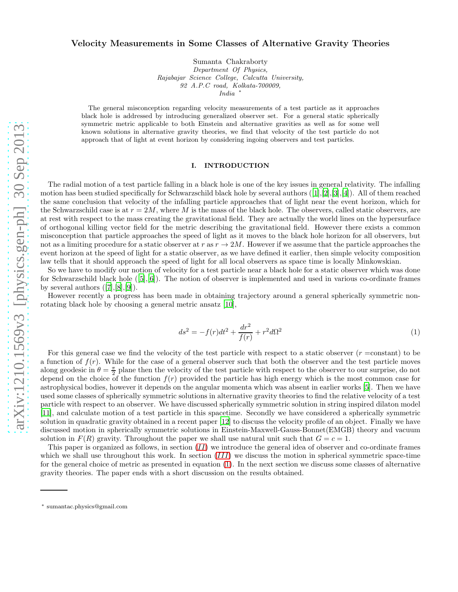# Velocity Measurements in Some Classes of Alternative Gravity Theories

Sumanta Chakraborty *Department Of Physics, Rajabajar Science College, Calcutta University, 92 A.P.C road, Kolkata-700009, India* <sup>∗</sup>

The general misconception regarding velocity measurements of a test particle as it approaches black hole is addressed by introducing generalized observer set. For a general static spherically symmetric metric applicable to both Einstein and alternative gravities as well as for some well known solutions in alternative gravity theories, we find that velocity of the test particle do not approach that of light at event horizon by considering ingoing observers and test particles.

### I. INTRODUCTION

The radial motion of a test particle falling in a black hole is one of the key issues in general relativity. The infalling motionhas been studied specifically for Schwarzschild black hole by several authors  $([1],[2],[3],[4])$  $([1],[2],[3],[4])$  $([1],[2],[3],[4])$  $([1],[2],[3],[4])$  $([1],[2],[3],[4])$  $([1],[2],[3],[4])$  $([1],[2],[3],[4])$  $([1],[2],[3],[4])$  $([1],[2],[3],[4])$ . All of them reached the same conclusion that velocity of the infalling particle approaches that of light near the event horizon, which for the Schwarzschild case is at  $r = 2M$ , where M is the mass of the black hole. The observers, called static observers, are at rest with respect to the mass creating the gravitational field. They are actually the world lines on the hypersurface of orthogonal killing vector field for the metric describing the gravitational field. However there exists a common misconception that particle approaches the speed of light as it moves to the black hole horizon for all observers, but not as a limiting procedure for a static observer at r as  $r \to 2M$ . However if we assume that the particle approaches the event horizon at the speed of light for a static observer, as we have defined it earlier, then simple velocity composition law tells that it should approach the speed of light for all local observers as space time is locally Minkowskian.

So we have to modify our notion of velocity for a test particle near a black hole for a static observer which was done forSchwarzschild black hole  $([5],[6])$  $([5],[6])$  $([5],[6])$  $([5],[6])$  $([5],[6])$ . The notion of observer is implemented and used in various co-ordinate frames byseveral authors  $([7],[8],[9])$  $([7],[8],[9])$  $([7],[8],[9])$  $([7],[8],[9])$  $([7],[8],[9])$  $([7],[8],[9])$  $([7],[8],[9])$ .

However recently a progress has been made in obtaining trajectory around a general spherically symmetric nonrotating black hole by choosing a general metric ansatz [\[10](#page-15-9)],

<span id="page-0-0"></span>
$$
ds^{2} = -f(r)dt^{2} + \frac{dr^{2}}{f(r)} + r^{2}d\Omega^{2}
$$
\n(1)

For this general case we find the velocity of the test particle with respect to a static observer  $(r = constant)$  to be a function of  $f(r)$ . While for the case of a general observer such that both the observer and the test particle moves along geodesic in  $\theta = \frac{\pi}{2}$  plane then the velocity of the test particle with respect to the observer to our surprise, do not depend on the choice of the function  $f(r)$  provided the particle has high energy which is the most common case for astrophysical bodies, however it depends on the angular momenta which was absent in earlier works [\[5](#page-15-4)]. Then we have used some classes of spherically symmetric solutions in alternative gravity theories to find the relative velocity of a test particle with respect to an observer. We have discussed spherically symmetric solution in string inspired dilaton model [\[11\]](#page-15-10), and calculate motion of a test particle in this spacetime. Secondly we have considered a spherically symmetric solution in quadratic gravity obtained in a recent paper [\[12](#page-15-11)] to discuss the velocity profile of an object. Finally we have discussed motion in spherically symmetric solutions in Einstein-Maxwell-Gauss-Bonnet(EMGB) theory and vacuum solution in  $F(R)$  gravity. Throughout the paper we shall use natural unit such that  $G = c = 1$ .

This paper is organized as follows, in section  $(II)$  $(II)$  $(II)$  we introduce the general idea of observer and co-ordinate frames which we shall use throughout this work. In section  $(III)$  $(III)$  $(III)$  we discuss the motion in spherical symmetric space-time for the general choice of metric as presented in equation [\(1\)](#page-0-0). In the next section we discuss some classes of alternative gravity theories. The paper ends with a short discussion on the results obtained.

<sup>∗</sup> sumantac.physics@gmail.com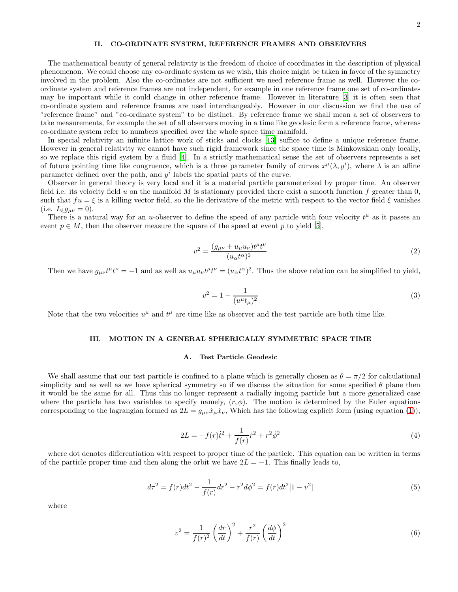# <span id="page-1-0"></span>II. CO-ORDINATE SYSTEM, REFERENCE FRAMES AND OBSERVERS

The mathematical beauty of general relativity is the freedom of choice of coordinates in the description of physical phenomenon. We could choose any co-ordinate system as we wish, this choice might be taken in favor of the symmetry involved in the problem. Also the co-ordinates are not sufficient we need reference frame as well. However the coordinate system and reference frames are not independent, for example in one reference frame one set of co-ordinates may be important while it could change in other reference frame. However in literature [\[3](#page-15-2)] it is often seen that co-ordinate system and reference frames are used interchangeably. However in our discussion we find the use of "reference frame" and "co-ordinate system" to be distinct. By reference frame we shall mean a set of observers to take measurements, for example the set of all observers moving in a time like geodesic form a reference frame, whereas co-ordinate system refer to numbers specified over the whole space time manifold.

In special relativity an infinite lattice work of sticks and clocks [\[13\]](#page-15-12) suffice to define a unique reference frame. However in general relativity we cannot have such rigid framework since the space time is Minkowskian only locally, so we replace this rigid system by a fluid [\[4](#page-15-3)]. In a strictly mathematical sense the set of observers represents a set of future pointing time like congruence, which is a three parameter family of curves  $x^{\mu}(\lambda, y^{i})$ , where  $\lambda$  is an affine parameter defined over the path, and  $y^i$  labels the spatial parts of the curve.

Observer in general theory is very local and it is a material particle parameterized by proper time. An observer field i.e. its velocity field u on the manifold M is stationary provided there exist a smooth function f greater than 0, such that  $fu = \xi$  is a killing vector field, so the lie derivative of the metric with respect to the vector field  $\xi$  vanishes (i.e.  $L_{\xi}g_{\mu\nu}=0$ ).

There is a natural way for an u-observer to define the speed of any particle with four velocity  $t^{\mu}$  as it passes an event  $p \in M$ , then the observer measure the square of the speed at event p to yield [\[5\]](#page-15-4),

<span id="page-1-2"></span>
$$
v^2 = \frac{(g_{\mu\nu} + u_{\mu}u_{\nu})t^{\mu}t^{\nu}}{(u_{\alpha}t^{\alpha})^2} \tag{2}
$$

Then we have  $g_{\mu\nu}t^{\mu}t^{\nu} = -1$  and as well as  $u_{\mu}u_{\nu}t^{\mu}t^{\nu} = (u_{\alpha}t^{\alpha})^2$ . Thus the above relation can be simplified to yield,

<span id="page-1-6"></span>
$$
v^2 = 1 - \frac{1}{(u^{\mu}t_{\mu})^2} \tag{3}
$$

Note that the two velocities  $u^{\mu}$  and  $t^{\mu}$  are time like as observer and the test particle are both time like.

### <span id="page-1-1"></span>III. MOTION IN A GENERAL SPHERICALLY SYMMETRIC SPACE TIME

### A. Test Particle Geodesic

We shall assume that our test particle is confined to a plane which is generally chosen as  $\theta = \pi/2$  for calculational simplicity and as well as we have spherical symmetry so if we discuss the situation for some specified  $\theta$  plane then it would be the same for all. Thus this no longer represent a radially ingoing particle but a more generalized case where the particle has two variables to specify namely,  $(r, \phi)$ . The motion is determined by the Euler equations corresponding to the lagrangian formed as  $2L = g_{\mu\nu}\dot{x}_{\mu}\dot{x}_{\nu}$ , Which has the following explicit form (using equation [\(1\)](#page-0-0)),

<span id="page-1-3"></span>
$$
2L = -f(r)\dot{t}^2 + \frac{1}{f(r)}\dot{r}^2 + r^2\dot{\phi}^2\tag{4}
$$

where dot denotes differentiation with respect to proper time of the particle. This equation can be written in terms of the particle proper time and then along the orbit we have  $2L = -1$ . This finally leads to,

<span id="page-1-4"></span>
$$
d\tau^2 = f(r)dt^2 - \frac{1}{f(r)}dr^2 - r^2d\phi^2 = f(r)dt^2[1 - v^2]
$$
\n(5)

where

<span id="page-1-5"></span>
$$
v^2 = \frac{1}{f(r)^2} \left(\frac{dr}{dt}\right)^2 + \frac{r^2}{f(r)} \left(\frac{d\phi}{dt}\right)^2 \tag{6}
$$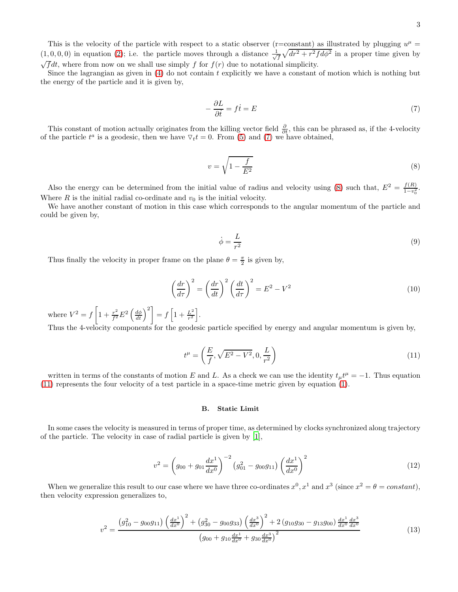This is the velocity of the particle with respect to a static observer (r=constant) as illustrated by plugging  $u^{\mu}$  =  $(1,0,0,0)$  in equation [\(2\)](#page-1-2); i.e. the particle moves through a distance  $\frac{1}{\sqrt{f}}\sqrt{dr^2+r^2fd\phi^2}$  in a proper time given by  $\sqrt{f}dt$ , where from now on we shall use simply f for  $f(r)$  due to notational simplicity.

Since the lagrangian as given in [\(4\)](#page-1-3) do not contain t explicitly we have a constant of motion which is nothing but the energy of the particle and it is given by,

<span id="page-2-0"></span>
$$
-\frac{\partial L}{\partial \dot{t}} = f\dot{t} = E\tag{7}
$$

This constant of motion actually originates from the killing vector field  $\frac{\partial}{\partial t}$ , this can be phrased as, if the 4-velocity of the particle  $t^a$  is a geodesic, then we have  $\nabla_t t = 0$ . From [\(5\)](#page-1-4) and [\(7\)](#page-2-0) we have obtained,

<span id="page-2-1"></span>
$$
v = \sqrt{1 - \frac{f}{E^2}}\tag{8}
$$

Also the energy can be determined from the initial value of radius and velocity using [\(8\)](#page-2-1) such that,  $E^2 = \frac{f(R)}{1 - r^2}$  $rac{J(R)}{1-v_0^2}$ . Where  $R$  is the initial radial co-ordinate and  $v_0$  is the initial velocity.

We have another constant of motion in this case which corresponds to the angular momentum of the particle and could be given by,

$$
\dot{\phi} = \frac{L}{r^2} \tag{9}
$$

Thus finally the velocity in proper frame on the plane  $\theta = \frac{\pi}{2}$  is given by,

$$
\left(\frac{dr}{d\tau}\right)^2 = \left(\frac{dr}{dt}\right)^2 \left(\frac{dt}{d\tau}\right)^2 = E^2 - V^2
$$
\n(10)

where  $V^2 = f \left[ 1 + \frac{r^2}{f^2} E^2 \left( \frac{d\phi}{dt} \right)^2 \right] = f \left[ 1 + \frac{L^2}{r^2} \right]$  $\frac{L^2}{r^2}\bigg].$ 

Thus the 4-velocity components for the geodesic particle specified by energy and angular momentum is given by,

<span id="page-2-2"></span>
$$
t^{\mu} = \left(\frac{E}{f}, \sqrt{E^2 - V^2}, 0, \frac{L}{r^2}\right)
$$
 (11)

written in terms of the constants of motion E and L. As a check we can use the identity  $t_{\mu}t^{\mu} = -1$ . Thus equation [\(11\)](#page-2-2) represents the four velocity of a test particle in a space-time metric given by equation [\(1\)](#page-0-0).

### B. Static Limit

In some cases the velocity is measured in terms of proper time, as determined by clocks synchronized along trajectory of the particle. The velocity in case of radial particle is given by [\[1\]](#page-15-0),

<span id="page-2-3"></span>
$$
v^2 = \left(g_{00} + g_{01} \frac{dx^1}{dx^0}\right)^{-2} \left(g_{01}^2 - g_{00}g_{11}\right) \left(\frac{dx^1}{dx^0}\right)^2\tag{12}
$$

When we generalize this result to our case where we have three co-ordinates  $x^0$ ,  $x^1$  and  $x^3$  (since  $x^2 = \theta = constant$ ), then velocity expression generalizes to,

<span id="page-2-4"></span>
$$
v^{2} = \frac{\left(g_{10}^{2} - g_{00}g_{11}\right)\left(\frac{dx^{1}}{dx^{0}}\right)^{2} + \left(g_{30}^{2} - g_{00}g_{33}\right)\left(\frac{dx^{3}}{dx^{0}}\right)^{2} + 2\left(g_{10}g_{30} - g_{13}g_{00}\right)\frac{dx^{1}}{dx^{0}}\frac{dx^{3}}{dx^{0}}}{\left(g_{00} + g_{10}\frac{dx^{1}}{dx^{0}} + g_{30}\frac{dx^{3}}{dx^{0}}\right)^{2}}
$$
\n(13)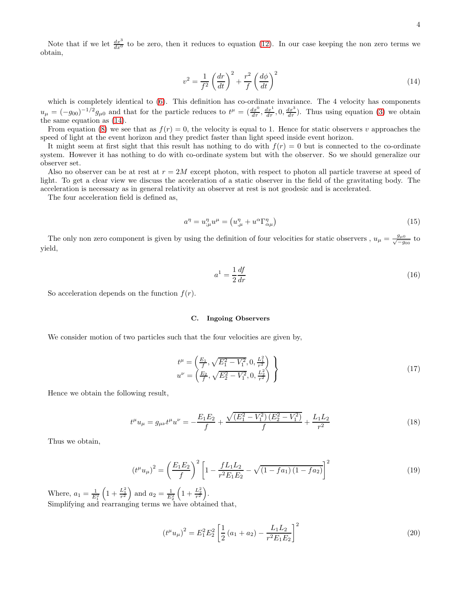<span id="page-3-0"></span>
$$
v^2 = \frac{1}{f^2} \left(\frac{dr}{dt}\right)^2 + \frac{r^2}{f} \left(\frac{d\phi}{dt}\right)^2 \tag{14}
$$

which is completely identical to  $(6)$ . This definition has co-ordinate invariance. The 4 velocity has components  $u_{\mu} = (-g_{00})^{-1/2} g_{\mu 0}$  and that for the particle reduces to  $t^{\mu} = (\frac{dx^0}{d\tau}, \frac{dx^1}{d\tau}, 0, \frac{dx^3}{d\tau})$ . Thus using equation [\(3\)](#page-1-6) we obtain the same equation as [\(14\)](#page-3-0).

From equation [\(8\)](#page-2-1) we see that as  $f(r) = 0$ , the velocity is equal to 1. Hence for static observers v approaches the speed of light at the event horizon and they predict faster than light speed inside event horizon.

It might seem at first sight that this result has nothing to do with  $f(r) = 0$  but is connected to the co-ordinate system. However it has nothing to do with co-ordinate system but with the observer. So we should generalize our observer set.

Also no observer can be at rest at  $r = 2M$  except photon, with respect to photon all particle traverse at speed of light. To get a clear view we discuss the acceleration of a static observer in the field of the gravitating body. The acceleration is necessary as in general relativity an observer at rest is not geodesic and is accelerated.

The four acceleration field is defined as,

$$
a^{\eta} = u^{\eta}_{;\mu} u^{\mu} = \left( u^{\eta}_{,\mu} + u^{\alpha} \Gamma^{\eta}_{\alpha\mu} \right) \tag{15}
$$

The only non zero component is given by using the definition of four velocities for static observers,  $u_{\mu} = \frac{g_{\mu} \delta}{\sqrt{g}}$  $\frac{g_{\mu 0}}{-g_{00}}$  to yield,

<span id="page-3-2"></span>
$$
a^1 = \frac{1}{2} \frac{df}{dr} \tag{16}
$$

So acceleration depends on the function  $f(r)$ .

### C. Ingoing Observers

We consider motion of two particles such that the four velocities are given by,

$$
t^{\mu} = \left(\frac{E_1}{f}, \sqrt{E_1^2 - V_1^2}, 0, \frac{L_1^2}{r^2}\right) u^{\nu} = \left(\frac{E_2}{f}, \sqrt{E_2^2 - V_1^2}, 0, \frac{L_2^2}{r^2}\right)
$$
\n(17)

Hence we obtain the following result,

$$
t^{\mu}u_{\mu} = g_{\mu\nu}t^{\mu}u^{\nu} = -\frac{E_1E_2}{f} + \frac{\sqrt{(E_1^2 - V_1^2)(E_2^2 - V_1^2)}}{f} + \frac{L_1L_2}{r^2}
$$
(18)

Thus we obtain,

$$
(t^{\mu}u_{\mu})^2 = \left(\frac{E_1E_2}{f}\right)^2 \left[1 - \frac{fL_1L_2}{r^2E_1E_2} - \sqrt{(1 - fa_1)(1 - fa_2)}\right]^2
$$
\n(19)

Where,  $a_1 = \frac{1}{E_1^2} \left( 1 + \frac{L_1^2}{r^2} \right)$  and  $a_2 = \frac{1}{E_2^2} \left( 1 + \frac{L_2^2}{r^2} \right)$ . Simplifying and rearranging terms we have obtained that,

<span id="page-3-1"></span>
$$
(t^{\mu}u_{\mu})^2 = E_1^2 E_2^2 \left[ \frac{1}{2} \left( a_1 + a_2 \right) - \frac{L_1 L_2}{r^2 E_1 E_2} \right]^2 \tag{20}
$$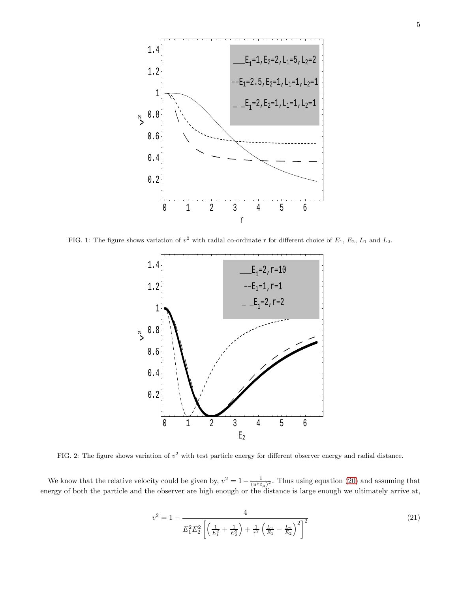

<span id="page-4-1"></span>FIG. 1: The figure shows variation of  $v^2$  with radial co-ordinate r for different choice of  $E_1, E_2, L_1$  and  $L_2$ .



<span id="page-4-2"></span>FIG. 2: The figure shows variation of  $v^2$  with test particle energy for different observer energy and radial distance.

We know that the relative velocity could be given by,  $v^2 = 1 - \frac{1}{(u^{\mu}t_{\mu})^2}$ . Thus using equation [\(20\)](#page-3-1) and assuming that energy of both the particle and the observer are high enough or the distance is large enough we ultimately arrive at,

<span id="page-4-0"></span>
$$
v^2 = 1 - \frac{4}{E_1^2 E_2^2 \left[ \left( \frac{1}{E_1^2} + \frac{1}{E_2^2} \right) + \frac{1}{r^2} \left( \frac{L_1}{E_1} - \frac{L_2}{E_2} \right)^2 \right]^2}
$$
(21)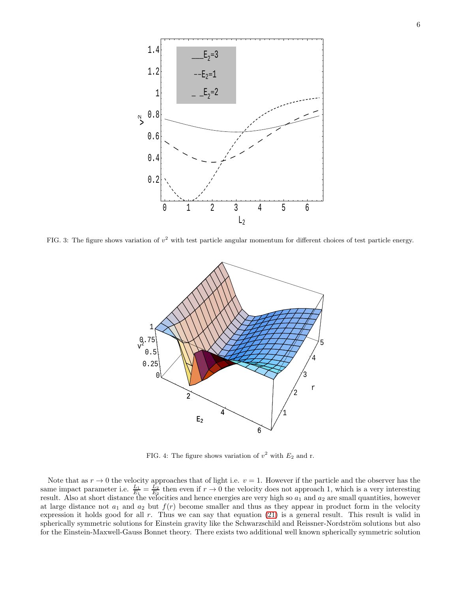

<span id="page-5-0"></span>FIG. 3: The figure shows variation of  $v^2$  with test particle angular momentum for different choices of test particle energy.



<span id="page-5-1"></span>FIG. 4: The figure shows variation of  $v^2$  with  $E_2$  and r.

Note that as  $r \to 0$  the velocity approaches that of light i.e.  $v = 1$ . However if the particle and the observer has the same impact parameter i.e.  $\frac{L_1}{E_1} = \frac{L_2}{E_2}$  then even if  $r \to 0$  the velocity does not approach 1, which is a very interesting result. Also at short distance the velocities and hence energies are very high so  $a_1$  and  $a_2$  are small quantities, however at large distance not  $a_1$  and  $a_2$  but  $f(r)$  become smaller and thus as they appear in product form in the velocity expression it holds good for all r. Thus we can say that equation [\(21\)](#page-4-0) is a general result. This result is valid in spherically symmetric solutions for Einstein gravity like the Schwarzschild and Reissner-Nordström solutions but also for the Einstein-Maxwell-Gauss Bonnet theory. There exists two additional well known spherically symmetric solution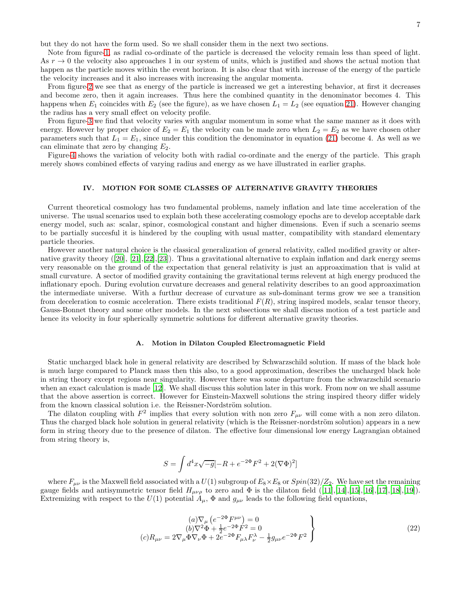but they do not have the form used. So we shall consider them in the next two sections.

Note from figure[-1,](#page-4-1) as radial co-ordinate of the particle is decreased the velocity remain less than speed of light. As  $r \to 0$  the velocity also approaches 1 in our system of units, which is justified and shows the actual motion that happen as the particle moves within the event horizon. It is also clear that with increase of the energy of the particle the velocity increases and it also increases with increasing the angular momenta.

From figure[-2](#page-4-2) we see that as energy of the particle is increased we get a interesting behavior, at first it decreases and become zero, then it again increases. Thus here the combined quantity in the denominator becomes 4. This happens when  $E_1$  coincides with  $E_2$  (see the figure), as we have chosen  $L_1 = L_2$  (see equation [21\)](#page-4-0). However changing the radius has a very small effect on velocity profile.

From figure[-3](#page-5-0) we find that velocity varies with angular momentum in some what the same manner as it does with energy. However by proper choice of  $E_2 = E_1$  the velocity can be made zero when  $L_2 = E_2$  as we have chosen other parameters such that  $L_1 = E_1$ , since under this condition the denominator in equation [\(21\)](#page-4-0) become 4. As well as we can eliminate that zero by changing  $E_2$ .

Figure[-4](#page-5-1) shows the variation of velocity both with radial co-ordinate and the energy of the particle. This graph merely shows combined effects of varying radius and energy as we have illustrated in earlier graphs.

# IV. MOTION FOR SOME CLASSES OF ALTERNATIVE GRAVITY THEORIES

Current theoretical cosmology has two fundamental problems, namely inflation and late time acceleration of the universe. The usual scenarios used to explain both these accelerating cosmology epochs are to develop acceptable dark energy model, such as: scalar, spinor, cosmological constant and higher dimensions. Even if such a scenario seems to be partially succesful it is hindered by the coupling with usual matter, compatibility with standard elementary particle theories.

However another natural choice is the classical generalization of general relativity, called modified gravity or alternative gravity theory([\[20\]](#page-15-13), [\[21](#page-15-14)],[\[22\]](#page-15-15),[\[23\]](#page-15-16)). Thus a gravitational alternative to explain inflation and dark energy seems very reasonable on the ground of the expectation that general relativity is just an approaximation that is valid at small curvature. A sector of modified gravity containing the gravitational terms relevent at high energy produced the inflationary epoch. During evolution curvature decreases and general relativity describes to an good approaximation the intermediate universe. With a furthur decrease of curvature as sub-dominant terms grow we see a transition from deceleration to cosmic acceleration. There exists traditional  $F(R)$ , string inspired models, scalar tensor theory, Gauss-Bonnet theory and some other models. In the next subsections we shall discuss motion of a test particle and hence its velocity in four spherically symmetric solutions for different alternative gravity theories.

#### A. Motion in Dilaton Coupled Electromagnetic Field

Static uncharged black hole in general relativity are described by Schwarzschild solution. If mass of the black hole is much large compared to Planck mass then this also, to a good approximation, describes the uncharged black hole in string theory except regions near singularity. However there was some departure from the schwarzschild scenario when an exact calculation is made [\[12\]](#page-15-11). We shall discuss this solution later in this work. From now on we shall assume that the above assertion is correct. However for Einstein-Maxwell solutions the string inspired theory differ widely from the known classical solution i.e. the Reissner-Nordström solution.

The dilaton coupling with  $F^2$  implies that every solution with non zero  $F_{\mu\nu}$  will come with a non zero dilaton. Thus the charged black hole solution in general relativity (which is the Reissner-nordström solution) appears in a new form in string theory due to the presence of dilaton. The effective four dimensional low energy Lagrangian obtained from string theory is,

$$
S = \int d^4x \sqrt{-g} [-R + e^{-2\Phi} F^2 + 2(\nabla \Phi)^2]
$$

where  $F_{\mu\nu}$  is the Maxwell field associated with a  $U(1)$  subgroup of  $E_8\times E_8$  or  $Spin(32)/Z_2$ . We have set the remaining gaugefields and antisymmetric tensor field  $H_{\mu\nu\rho}$  to zero and  $\Phi$  is the dilaton field  $([11],[14],[15],[16],[17],[18],[19])$  $([11],[14],[15],[16],[17],[18],[19])$  $([11],[14],[15],[16],[17],[18],[19])$  $([11],[14],[15],[16],[17],[18],[19])$  $([11],[14],[15],[16],[17],[18],[19])$  $([11],[14],[15],[16],[17],[18],[19])$  $([11],[14],[15],[16],[17],[18],[19])$  $([11],[14],[15],[16],[17],[18],[19])$  $([11],[14],[15],[16],[17],[18],[19])$  $([11],[14],[15],[16],[17],[18],[19])$  $([11],[14],[15],[16],[17],[18],[19])$  $([11],[14],[15],[16],[17],[18],[19])$  $([11],[14],[15],[16],[17],[18],[19])$  $([11],[14],[15],[16],[17],[18],[19])$  $([11],[14],[15],[16],[17],[18],[19])$ . Extremizing with respect to the  $U(1)$  potential  $A_\mu$ ,  $\Phi$  and  $g_{\mu\nu}$  leads to the following field equations,

<span id="page-6-0"></span>
$$
(a)\nabla_{\mu} (e^{-2\Phi}F^{\mu\nu}) = 0
$$
  
\n
$$
(b)\nabla^2 \Phi + \frac{1}{2}e^{-2\Phi}F^2 = 0
$$
  
\n
$$
(c)R_{\mu\nu} = 2\nabla_{\mu}\Phi\nabla_{\nu}\Phi + 2e^{-2\Phi}F_{\mu\lambda}F^{\lambda}_{\nu} - \frac{1}{2}g_{\mu\nu}e^{-2\Phi}F^2
$$
\n
$$
(22)
$$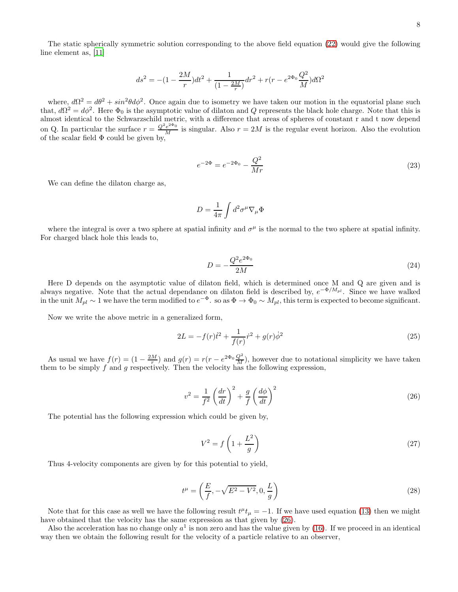The static spherically symmetric solution corresponding to the above field equation [\(22\)](#page-6-0) would give the following line element as, [\[11\]](#page-15-10)

$$
ds^{2} = -(1 - \frac{2M}{r})dt^{2} + \frac{1}{(1 - \frac{2M}{r})}dr^{2} + r(r - e^{2\Phi_{0}}\frac{Q^{2}}{M})d\Omega^{2}
$$

where,  $d\Omega^2 = d\theta^2 + \sin^2\theta d\phi^2$ . Once again due to isometry we have taken our motion in the equatorial plane such that,  $d\Omega^2 = d\phi^2$ . Here  $\Phi_0$  is the asymptotic value of dilaton and Q represents the black hole charge. Note that this is almost identical to the Schwarzschild metric, with a difference that areas of spheres of constant r and t now depend on Q. In particular the surface  $r = \frac{Q^2 e^{2\Phi_0}}{M}$  is singular. Also  $r = 2M$  is the regular event horizon. Also the evolution of the scalar field  $\Phi$  could be given by,

$$
e^{-2\Phi} = e^{-2\Phi_0} - \frac{Q^2}{Mr} \tag{23}
$$

We can define the dilaton charge as,

$$
D = \frac{1}{4\pi} \int d^2 \sigma^\mu \nabla_\mu \Phi
$$

where the integral is over a two sphere at spatial infinity and  $\sigma^{\mu}$  is the normal to the two sphere at spatial infinity. For charged black hole this leads to,

$$
D = -\frac{Q^2 e^{2\Phi_0}}{2M}
$$
 (24)

Here D depends on the asymptotic value of dilaton field, which is determined once M and Q are given and is always negative. Note that the actual dependance on dilaton field is described by,  $e^{-\Phi/M_{pl}}$ . Since we have walked in the unit  $M_{pl} \sim 1$  we have the term modified to  $e^{-\Phi}$ . so as  $\Phi \to \Phi_0 \sim M_{pl}$ , this term is expected to become significant.

Now we write the above metric in a generalized form,

$$
2L = -f(r)\dot{t}^2 + \frac{1}{f(r)}\dot{r}^2 + g(r)\dot{\phi}^2\tag{25}
$$

As usual we have  $f(r) = (1 - \frac{2M}{r})$  and  $g(r) = r(r - e^{2\Phi_0} \frac{Q^2}{M})$ , however due to notational simplicity we have taken them to be simply f and g respectively. Then the velocity has the following expression,

<span id="page-7-0"></span>
$$
v^2 = \frac{1}{f^2} \left(\frac{dr}{dt}\right)^2 + \frac{g}{f} \left(\frac{d\phi}{dt}\right)^2 \tag{26}
$$

The potential has the following expression which could be given by,

$$
V^2 = f\left(1 + \frac{L^2}{g}\right) \tag{27}
$$

Thus 4-velocity components are given by for this potential to yield,

$$
t^{\mu} = \left(\frac{E}{f}, -\sqrt{E^2 - V^2}, 0, \frac{L}{g}\right)
$$
 (28)

Note that for this case as well we have the following result  $t^{\mu}t_{\mu} = -1$ . If we have used equation [\(13\)](#page-2-4) then we might have obtained that the velocity has the same expression as that given by [\(26\)](#page-7-0).

Also the acceleration has no change only  $a^1$  is non zero and has the value given by [\(16\)](#page-3-2). If we proceed in an identical way then we obtain the following result for the velocity of a particle relative to an observer,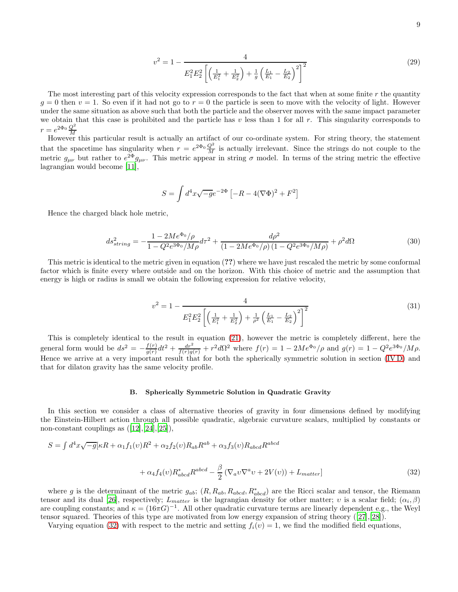$$
v^2 = 1 - \frac{4}{E_1^2 E_2^2 \left[ \left( \frac{1}{E_1^2} + \frac{1}{E_2^2} \right) + \frac{1}{g} \left( \frac{L_1}{E_1} - \frac{L_2}{E_2} \right)^2 \right]^2}
$$
(29)

The most interesting part of this velocity expression corresponds to the fact that when at some finite  $r$  the quantity  $q = 0$  then  $v = 1$ . So even if it had not go to  $r = 0$  the particle is seen to move with the velocity of light. However under the same situation as above such that both the particle and the observer moves with the same impact parameter we obtain that this case is prohibited and the particle has  $v$  less than 1 for all  $r$ . This singularity corresponds to  $r = e^{2\Phi_0} \frac{Q^2}{M}$ 

However this particular result is actually an artifact of our co-ordinate system. For string theory, the statement that the spacetime has singularity when  $r = e^{2\Phi_0} \frac{Q^2}{M}$  is actually irrelevant. Since the strings do not couple to the metric  $g_{\mu\nu}$  but rather to  $e^{2\Phi}g_{\mu\nu}$ . This metric appear in string  $\sigma$  model. In terms of the string metric the effective lagrangian would become [\[11](#page-15-10)],

$$
S = \int d^4x \sqrt{-g} e^{-2\Phi} \left[ -R - 4(\nabla \Phi)^2 + F^2 \right]
$$

Hence the charged black hole metric,

$$
ds_{string}^2 = -\frac{1 - 2Me^{\Phi_0}/\rho}{1 - Q^2 e^{3\Phi_0}/M\rho}d\tau^2 + \frac{d\rho^2}{(1 - 2Me^{\Phi_0}/\rho)\left(1 - Q^2 e^{3\Phi_0}/M\rho\right)} + \rho^2 d\Omega\tag{30}
$$

This metric is identical to the metric given in equation (??) where we have just rescaled the metric by some conformal factor which is finite every where outside and on the horizon. With this choice of metric and the assumption that energy is high or radius is small we obtain the following expression for relative velocity,

<span id="page-8-1"></span>
$$
v^2 = 1 - \frac{4}{E_1^2 E_2^2 \left[ \left( \frac{1}{E_1^2} + \frac{1}{E_2^2} \right) + \frac{1}{\rho^2} \left( \frac{L_1}{E_1} - \frac{L_2}{E_2} \right)^2 \right]^2}
$$
(31)

This is completely identical to the result in equation [\(21\)](#page-4-0), however the metric is completely different, here the general form would be  $ds^2 = -\frac{f(r)}{g(r)}$  $\frac{f(r)}{g(r)}dt^2 + \frac{dr^2}{f(r)g(r)} + r^2d\Omega^2$  where  $f(r) = 1 - 2Me^{\Phi_0}/\rho$  and  $g(r) = 1 - Q^2e^{3\Phi_0}/M\rho$ . Hence we arrive at a very important result that for both the spherically symmetric solution in section [\(IV D\)](#page-14-0) and that for dilaton gravity has the same velocity profile.

### <span id="page-8-0"></span>B. Spherically Symmetric Solution in Quadratic Gravity

In this section we consider a class of alternative theories of gravity in four dimensions defined by modifying the Einstein-Hilbert action through all possible quadratic, algebraic curvature scalars, multiplied by constants or non-constantcouplings as  $([12],[24],[25])$  $([12],[24],[25])$  $([12],[24],[25])$  $([12],[24],[25])$  $([12],[24],[25])$  $([12],[24],[25])$  $([12],[24],[25])$ ,

$$
S = \int d^4x \sqrt{-g} \left[ \kappa R + \alpha_1 f_1(v) R^2 + \alpha_2 f_2(v) R_{ab} R^{ab} + \alpha_3 f_3(v) R_{abcd} R^{abcd} \right]
$$

$$
+ \alpha_4 f_4(v) R_{abcd}^* R^{abcd} - \frac{\beta}{2} \left( \nabla_a v \nabla^a v + 2V(v) \right) + L_{matter} \tag{32}
$$

where g is the determinant of the metric  $g_{ab}$ ;  $(R, R_{ab}, R_{abcd}, R^*_{abcd})$  are the Ricci scalar and tensor, the Riemann tensor and its dual [\[26\]](#page-15-25), respectively;  $L_{matter}$  is the lagrangian density for other matter; v is a scalar field;  $(\alpha_i, \beta)$ are coupling constants; and  $\kappa = (16\pi G)^{-1}$ . All other quadratic curvature terms are linearly dependent e.g., the Weyl tensor squared. Theories of this type are motivated from low energy expansion of string theory([\[27\]](#page-15-26),[\[28](#page-16-0)]).

Varying equation [\(32\)](#page-8-0) with respect to the metric and setting  $f_i(v) = 1$ , we find the modified field equations,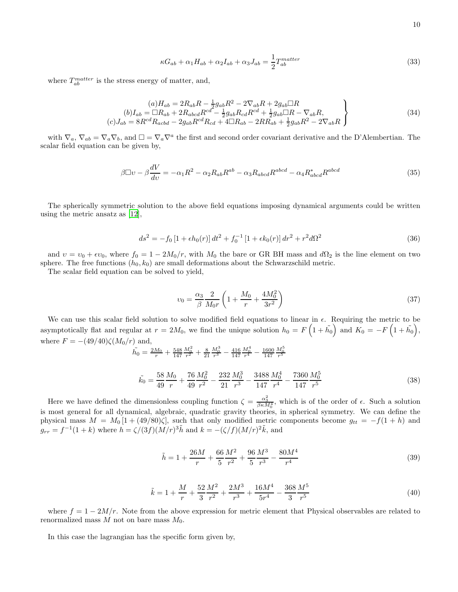$$
10\quad
$$

$$
\kappa G_{ab} + \alpha_1 H_{ab} + \alpha_2 I_{ab} + \alpha_3 J_{ab} = \frac{1}{2} T_{ab}^{matter}
$$
\n(33)

where  $T_{ab}^{matter}$  is the stress energy of matter, and,

$$
(a) H_{ab} = 2R_{ab}R - \frac{1}{2}g_{ab}R^2 - 2\nabla_{ab}R + 2g_{ab}\Box R
$$
  
\n
$$
(b) I_{ab} = \Box R_{ab} + 2R_{abcd}R^{cd} - \frac{1}{2}g_{ab}R_{cd}R^{cd} + \frac{1}{2}g_{ab}\Box R - \nabla_{ab}R,
$$
  
\n
$$
(c) J_{ab} = 8R^{cd}R_{acbd} - 2g_{ab}R^{cd}R_{cd} + 4\Box R_{ab} - 2RR_{ab} + \frac{1}{2}g_{ab}R^2 - 2\nabla_{ab}R
$$
\n(34)

with  $\nabla_a$ ,  $\nabla_{ab} = \nabla_a \nabla_b$ , and  $\square = \nabla_a \nabla^a$  the first and second order covariant derivative and the D'Alembertian. The scalar field equation can be given by,

$$
\beta \Box \upsilon - \beta \frac{dV}{d\upsilon} = -\alpha_1 R^2 - \alpha_2 R_{ab} R^{ab} - \alpha_3 R_{abcd} R^{abcd} - \alpha_4 R_{abcd}^* R^{abcd}
$$
\n(35)

The spherically symmetric solution to the above field equations imposing dynamical arguments could be written using the metric ansatz as [\[12](#page-15-11)],

$$
ds^{2} = -f_{0} \left[1 + \epsilon h_{0}(r)\right] dt^{2} + f_{0}^{-1} \left[1 + \epsilon k_{0}(r)\right] dr^{2} + r^{2} d\Omega^{2}
$$
\n(36)

and  $v = v_0 + \epsilon v_0$ , where  $f_0 = 1 - 2M_0/r$ , with  $M_0$  the bare or GR BH mass and  $d\Omega_2$  is the line element on two sphere. The free functions  $(h_0, k_0)$  are small deformations about the Schwarzschild metric.

The scalar field equation can be solved to yield,

 $\tilde{h}$ 

$$
v_0 = \frac{\alpha_3}{\beta} \frac{2}{M_0 r} \left( 1 + \frac{M_0}{r} + \frac{4M_0^2}{3r^2} \right)
$$
 (37)

We can use this scalar field solution to solve modified field equations to linear in  $\epsilon$ . Requiring the metric to be asymptotically flat and regular at  $r = 2M_0$ , we find the unique solution  $h_0 = F\left(1 + \tilde{h_0}\right)$  and  $K_0 = -F\left(1 + \tilde{h_0}\right)$ , where  $F = -(49/40)\zeta(M_0/r)$  and,

$$
\tilde{h}_0 = \frac{2M_0}{r} + \frac{548}{147} \frac{M_0^2}{r^2} + \frac{8}{21} \frac{M_0^3}{r^3} - \frac{416}{147} \frac{M_0^4}{r^4} - \frac{1600}{147} \frac{M_0^5}{r^5}
$$
\n
$$
\tilde{h}_0 = \frac{58}{49} \frac{M_0}{r} + \frac{76}{49} \frac{M_0^2}{r^2} - \frac{232}{21} \frac{M_0^3}{r^3} - \frac{3488}{147} \frac{M_0^4}{r^4} - \frac{7360}{147} \frac{M_0^5}{r^5}
$$
\n(38)

Here we have defined the dimensionless coupling function  $\zeta = \frac{\alpha_3^2}{\beta \kappa M_0^4}$ , which is of the order of  $\epsilon$ . Such a solution is most general for all dynamical, algebraic, quadratic gravity theories, in spherical symmetry. We can define the physical mass  $M = M_0 [1 + (49/80)\zeta]$ , such that only modified metric components become  $g_{tt} = -f(1+h)$  and  $g_{rr} = f^{-1}(1+k)$  where  $h = \zeta/(3f)(M/r)^3 \tilde{h}$  and  $k = -(\zeta/f)(M/r)^2 \tilde{k}$ , and

<span id="page-9-0"></span>
$$
\tilde{h} = 1 + \frac{26M}{r} + \frac{66}{5} \frac{M^2}{r^2} + \frac{96}{5} \frac{M^3}{r^3} - \frac{80M^4}{r^4}
$$
\n(39)

<span id="page-9-1"></span>
$$
\tilde{k} = 1 + \frac{M}{r} + \frac{52}{3} \frac{M^2}{r^2} + \frac{2M^3}{r^3} + \frac{16M^4}{5r^4} - \frac{368}{3} \frac{M^5}{r^5}
$$
\n
$$
\tag{40}
$$

where  $f = 1 - 2M/r$ . Note from the above expression for metric element that Physical observables are related to renormalized mass  $M$  not on bare mass  $M_0$ .

In this case the lagrangian has the specific form given by,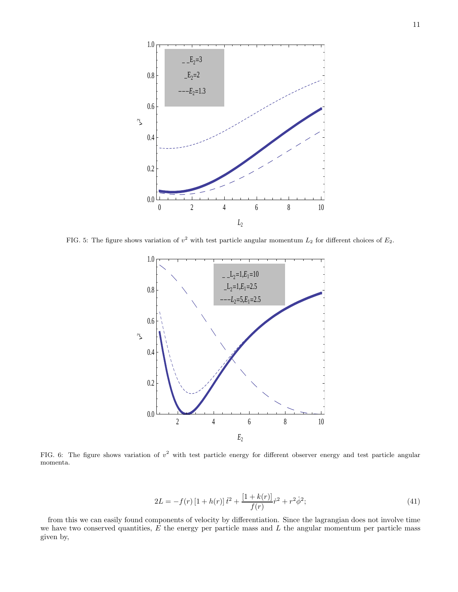

<span id="page-10-0"></span>FIG. 5: The figure shows variation of  $v^2$  with test particle angular momentum  $L_2$  for different choices of  $E_2$ .



<span id="page-10-1"></span>FIG. 6: The figure shows variation of  $v^2$  with test particle energy for different observer energy and test particle angular momenta.

$$
2L = -f(r)\left[1 + h(r)\right]\dot{t}^2 + \frac{\left[1 + k(r)\right]}{f(r)}\dot{r}^2 + r^2\dot{\phi}^2;\tag{41}
$$

from this we can easily found components of velocity by differentiation. Since the lagrangian does not involve time we have two conserved quantities,  $E$  the energy per particle mass and  $L$  the angular momentum per particle mass given by,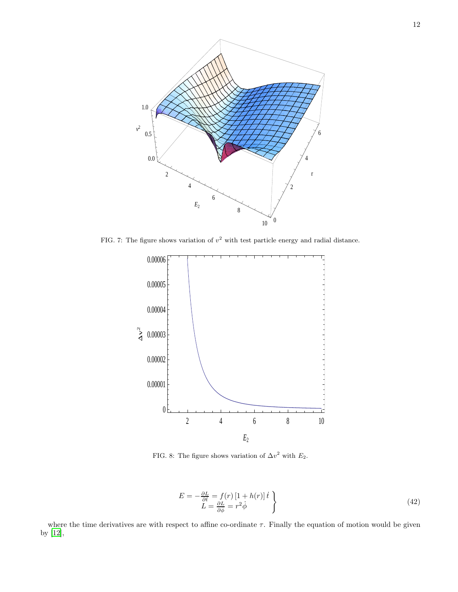

FIG. 7: The figure shows variation of  $v^2$  with test particle energy and radial distance.

<span id="page-11-0"></span>

<span id="page-11-1"></span>FIG. 8: The figure shows variation of  $\Delta v^2$  with  $E_2$ .

$$
E = -\frac{\partial L}{\partial t} = f(r)\left[1 + h(r)\right]\dot{t}
$$
  
\n
$$
L = \frac{\partial L}{\partial \dot{\phi}} = r^2 \dot{\phi}
$$
\n(42)

where the time derivatives are with respect to affine co-ordinate  $\tau$ . Finally the equation of motion would be given by [\[12\]](#page-15-11),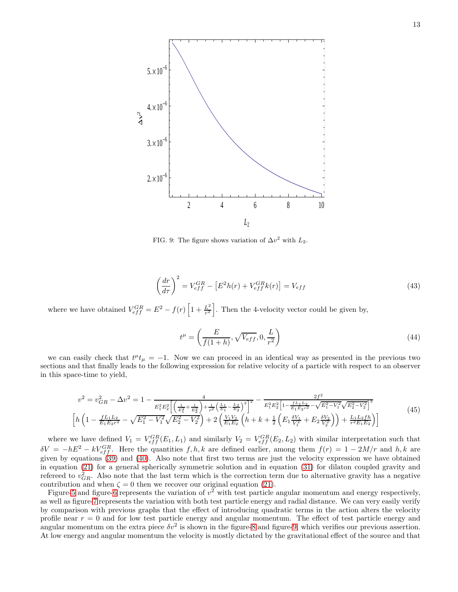

<span id="page-12-0"></span>FIG. 9: The figure shows variation of  $\Delta v^2$  with  $L_2$ .

$$
\left(\frac{dr}{d\tau}\right)^2 = V_{eff}^{GR} - \left[E^2 h(r) + V_{eff}^{GR} k(r)\right] = V_{eff}
$$
\n(43)

where we have obtained  $V_{eff}^{GR} = E^2 - f(r) \left[1 + \frac{L^2}{r^2}\right]$  $\frac{L^2}{r^2}$ . Then the 4-velocity vector could be given by,

$$
t^{\mu} = \left(\frac{E}{f(1+h)}, \sqrt{V_{eff}}, 0, \frac{L}{r^2}\right)
$$
\n(44)

we can easily check that  $t^{\mu}t_{\mu} = -1$ . Now we can proceed in an identical way as presented in the previous two sections and that finally leads to the following expression for relative velocity of a particle with respect to an observer in this space-time to yield,

$$
v^{2} = v_{GR}^{2} - \Delta v^{2} = 1 - \frac{4}{E_{1}^{2}E_{2}^{2}\left[\left(\frac{1}{E_{1}^{2}} + \frac{1}{E_{2}^{2}}\right) + \frac{1}{\rho^{2}}\left(\frac{L_{1}}{E_{1}} - \frac{L_{2}}{E_{2}}\right)^{2}\right]^{2}} - \frac{2f^{2}}{E_{1}^{2}E_{2}^{2}\left[1 - \frac{fL_{1}L_{2}}{E_{1}E_{2}r^{2}} - \sqrt{E_{1}^{2} - V_{1}^{2}}\sqrt{E_{2}^{2} - V_{2}^{2}}\right]^{3}}}{\left[h\left(1 - \frac{fL_{1}L_{2}}{E_{1}E_{2}r^{2}} - \sqrt{E_{1}^{2} - V_{1}^{2}}\sqrt{E_{2}^{2} - V_{2}^{2}}\right) + 2\left(\frac{V_{1}V_{2}}{E_{1}E_{2}}\left(h + k + \frac{1}{2}\left(E_{1}\frac{\delta V_{1}}{V_{1}^{2}} + E_{2}\frac{\delta V_{2}}{V_{2}^{2}}\right)\right) + \frac{L_{1}L_{2}fh}{r^{2}E_{1}E_{2}}\right)\right]}\n\tag{45}
$$

where we have defined  $V_1 = V_{eff}^{GR}(E_1, L_1)$  and similarly  $V_2 = V_{eff}^{GR}(E_2, L_2)$  with similar interpretation such that  $\delta V = -hE^2 - kV_{eff}^{GR}$ . Here the quantities  $f, h, k$  are defined earlier, among them  $f(r) = 1 - 2M/r$  and  $h, k$  are given by equations [\(39\)](#page-9-0) and [\(40\)](#page-9-1). Also note that first two terms are just the velocity expression we have obtained in equation [\(21\)](#page-4-0) for a general spherically symmetric solution and in equation [\(31\)](#page-8-1) for dilaton coupled gravity and refereed to  $v_{GR}^2$ . Also note that the last term which is the correction term due to alternative gravity has a negative contribution and when  $\zeta = 0$  then we recover our original equation [\(21\)](#page-4-0).

Figure[-5](#page-10-0) and figure[-6](#page-10-1) represents the variation of  $v^2$  with test particle angular momentum and energy respectively, as well as figure[-7](#page-11-0) represents the variation with both test particle energy and radial distance. We can very easily verify by comparison with previous graphs that the effect of introducing quadratic terms in the action alters the velocity profile near  $r = 0$  and for low test particle energy and angular momentum. The effect of test particle energy and angular momentum on the extra piece  $\delta v^2$  is shown in the figure[-8](#page-11-1) and figure[-9,](#page-12-0) which verifies our previous assertion. At low energy and angular momentum the velocity is mostly dictated by the gravitational effect of the source and that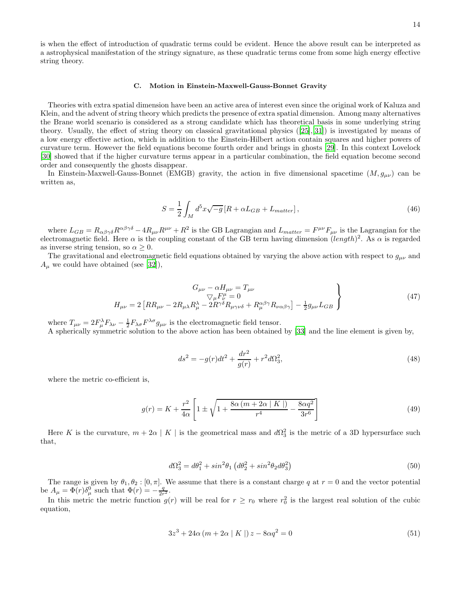is when the effect of introduction of quadratic terms could be evident. Hence the above result can be interpreted as a astrophysical manifestation of the stringy signature, as these quadratic terms come from some high energy effective string theory.

### C. Motion in Einstein-Maxwell-Gauss-Bonnet Gravity

Theories with extra spatial dimension have been an active area of interest even since the original work of Kaluza and Klein, and the advent of string theory which predicts the presence of extra spatial dimension. Among many alternatives the Brane world scenario is considered as a strong candidate which has theoretical basis in some underlying string theory. Usually, the effect of string theory on classical gravitational physics([\[25\]](#page-15-24),[\[31\]](#page-16-1)) is investigated by means of a low energy effective action, which in addition to the Einstein-Hilbert action contain squares and higher powers of curvature term. However the field equations become fourth order and brings in ghosts [\[29\]](#page-16-2). In this context Lovelock [\[30\]](#page-16-3) showed that if the higher curvature terms appear in a particular combination, the field equation become second order and consequently the ghosts disappear.

In Einstein-Maxwell-Gauss-Bonnet (EMGB) gravity, the action in five dimensional spacetime  $(M, g_{\mu\nu})$  can be written as,

$$
S = \frac{1}{2} \int_{M} d^{5}x \sqrt{-g} \left[ R + \alpha L_{GB} + L_{matter} \right],\tag{46}
$$

where  $L_{GB} = R_{\alpha\beta\gamma\delta}R^{\alpha\beta\gamma\delta} - 4R_{\mu\nu}R^{\mu\nu} + R^2$  is the GB Lagrangian and  $L_{matter} = F^{\mu\nu}F_{\mu\nu}$  is the Lagrangian for the electromagnetic field. Here  $\alpha$  is the coupling constant of the GB term having dimension  $(length)^2$ . As  $\alpha$  is regarded as inverse string tension, so  $\alpha \geq 0$ .

The gravitational and electromagnetic field equations obtained by varying the above action with respect to  $g_{\mu\nu}$  and  $A_{\mu}$  we could have obtained (see [\[32\]](#page-16-4)),

$$
G_{\mu\nu} - \alpha H_{\mu\nu} = T_{\mu\nu}
$$
  
\n
$$
\nabla_{\mu} F^{\mu}_{\nu} = 0
$$
  
\n
$$
H_{\mu\nu} = 2 \left[ RR_{\mu\nu} - 2R_{\mu\lambda} R^{\lambda}_{\mu} - 2R^{\gamma\delta} R_{\mu\gamma\nu\delta} + R^{\alpha\beta\gamma}_{\mu} R_{\nu\alpha\beta\gamma} \right] - \frac{1}{2} g_{\mu\nu} L_{GB}
$$
\n
$$
(47)
$$

where  $T_{\mu\nu} = 2F_{\mu}^{\lambda}F_{\lambda\nu} - \frac{1}{2}F_{\lambda\sigma}F^{\lambda\sigma}g_{\mu\nu}$  is the electromagnetic field tensor.

A spherically symmetric solution to the above action has been obtained by [\[33\]](#page-16-5) and the line element is given by,

<span id="page-13-1"></span>
$$
ds^{2} = -g(r)dt^{2} + \frac{dr^{2}}{g(r)} + r^{2}d\Omega_{3}^{2},
$$
\n(48)

where the metric co-efficient is,

<span id="page-13-0"></span>
$$
g(r) = K + \frac{r^2}{4\alpha} \left[ 1 \pm \sqrt{1 + \frac{8\alpha \left( m + 2\alpha \mid K \mid \right)}{r^4} - \frac{8\alpha q^2}{3r^6}} \right] \tag{49}
$$

Here K is the curvature,  $m + 2\alpha \mid K \mid$  is the geometrical mass and  $d\Omega_3^2$  is the metric of a 3D hypersurface such that,

$$
d\Omega_3^2 = d\theta_1^2 + \sin^2\theta_1 \left(d\theta_2^2 + \sin^2\theta_2 d\theta_3^2\right)
$$
\n
$$
(50)
$$

The range is given by  $\theta_1, \theta_2 : [0, \pi]$ . We assume that there is a constant charge q at  $r = 0$  and the vector potential be  $A_{\mu} = \Phi(r)\delta_{\mu}^{0}$  such that  $\Phi(r) = -\frac{q}{2r^2}$ .

In this metric the metric function  $g(r)$  will be real for  $r \geq r_0$  where  $r_0^2$  is the largest real solution of the cubic equation,

$$
3z3 + 24\alpha (m + 2\alpha | K |) z - 8\alpha q2 = 0
$$
 (51)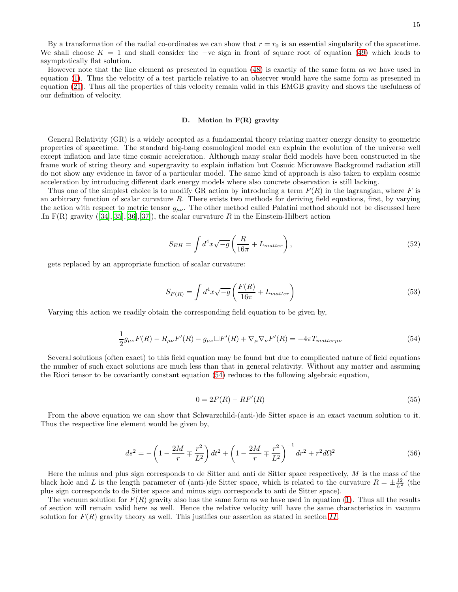By a transformation of the radial co-ordinates we can show that  $r = r_0$  is an essential singularity of the spacetime. We shall choose  $K = 1$  and shall consider the −ve sign in front of square root of equation [\(49\)](#page-13-0) which leads to asymptotically flat solution.

However note that the line element as presented in equation [\(48\)](#page-13-1) is exactly of the same form as we have used in equation [\(1\)](#page-0-0). Thus the velocity of a test particle relative to an observer would have the same form as presented in equation [\(21\)](#page-4-0). Thus all the properties of this velocity remain valid in this EMGB gravity and shows the usefulness of our definition of velocity.

#### D. Motion in F(R) gravity

General Relativity (GR) is a widely accepted as a fundamental theory relating matter energy density to geometric properties of spacetime. The standard big-bang cosmological model can explain the evolution of the universe well except inflation and late time cosmic acceleration. Although many scalar field models have been constructed in the frame work of string theory and supergravity to explain inflation but Cosmic Microwave Background radiation still do not show any evidence in favor of a particular model. The same kind of approach is also taken to explain cosmic acceleration by introducing different dark energy models where also concrete observation is still lacking.

Thus one of the simplest choice is to modify GR action by introducing a term  $F(R)$  in the lagrangian, where F is an arbitrary function of scalar curvature R. There exists two methods for deriving field equations, first, by varying the action with respect to metric tensor  $g_{\mu\nu}$ . The other method called Palatini method should not be discussed here In $F(R)$  gravity  $(34,35,36,37)$ , the scalar curvature R in the Einstein-Hilbert action

$$
S_{EH} = \int d^4x \sqrt{-g} \left( \frac{R}{16\pi} + L_{matter} \right), \qquad (52)
$$

gets replaced by an appropriate function of scalar curvature:

$$
S_{F(R)} = \int d^4x \sqrt{-g} \left( \frac{F(R)}{16\pi} + L_{matter} \right) \tag{53}
$$

Varying this action we readily obtain the corresponding field equation to be given by,

<span id="page-14-1"></span>
$$
\frac{1}{2}g_{\mu\nu}F(R) - R_{\mu\nu}F'(R) - g_{\mu\nu}\Box F'(R) + \nabla_{\mu}\nabla_{\nu}F'(R) = -4\pi T_{matter\mu\nu}
$$
\n(54)

Several solutions (often exact) to this field equation may be found but due to complicated nature of field equations the number of such exact solutions are much less than that in general relativity. Without any matter and assuming the Ricci tensor to be covariantly constant equation [\(54\)](#page-14-1) reduces to the following algebraic equation,

$$
0 = 2F(R) - RF'(R) \tag{55}
$$

From the above equation we can show that Schwarzchild-(anti-)de Sitter space is an exact vacuum solution to it. Thus the respective line element would be given by,

<span id="page-14-0"></span>
$$
ds^{2} = -\left(1 - \frac{2M}{r} \mp \frac{r^{2}}{L^{2}}\right)dt^{2} + \left(1 - \frac{2M}{r} \mp \frac{r^{2}}{L^{2}}\right)^{-1}dr^{2} + r^{2}d\Omega^{2}
$$
\n(56)

Here the minus and plus sign corresponds to de Sitter and anti de Sitter space respectively,  $M$  is the mass of the black hole and L is the length parameter of (anti-)de Sitter space, which is related to the curvature  $R = \pm \frac{12}{L^2}$  (the plus sign corresponds to de Sitter space and minus sign corresponds to anti de Sitter space).

The vacuum solution for  $F(R)$  gravity also has the same form as we have used in equation [\(1\)](#page-0-0). Thus all the results of section will remain valid here as well. Hence the relative velocity will have the same characteristics in vacuum solution for  $F(R)$  gravity theory as well. This justifies our assertion as stated in section [II](#page-1-0).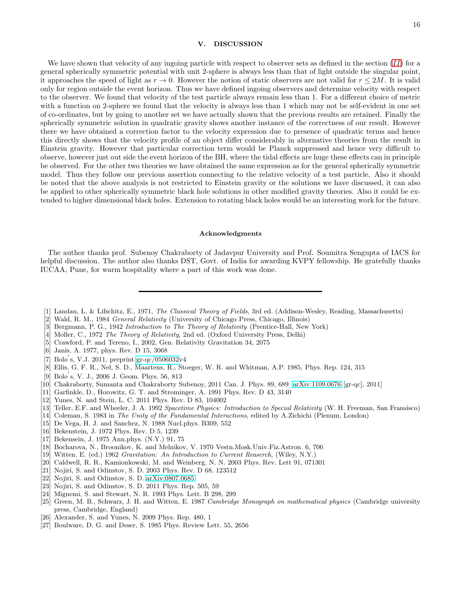## V. DISCUSSION

We have shown that velocity of any ingoing particle with respect to observer sets as defined in the section  $(II)$  $(II)$  $(II)$  for a general spherically symmetric potential with unit 2-sphere is always less than that of light outside the singular point, it approaches the speed of light as  $r \to 0$ . However the notion of static observers are not valid for  $r \leq 2M$ . It is valid only for region outside the event horizon. Thus we have defined ingoing observers and determine velocity with respect to the observer. We found that velocity of the test particle always remain less than 1. For a different choice of metric with a function on 2-sphere we found that the velocity is always less than 1 which may not be self-evident in one set of co-ordinates, but by going to another set we have actually shown that the previous results are retained. Finally the spherically symmetric solution in quadratic gravity shows another instance of the correctness of our result. However there we have obtained a correction factor to the velocity expression due to presence of quadratic terms and hence this directly shows that the velocity profile of an object differ considerably in alternative theories from the result in Einstein gravity. However that particular correction term would be Planck suppressed and hence very difficult to observe, however just out side the event horizon of the BH, where the tidal effects are huge these effects can in principle be observed. For the other two theories we have obtained the same expression as for the general spherically symmetric model. Thus they follow our previous assertion connecting to the relative velocity of a test particle. Also it should be noted that the above analysis is not restricted to Einstein gravity or the solutions we have discussed, it can also be applied to other spherically symmetric black hole solutions in other modified gravity theories. Also it could be extended to higher dimensional black holes. Extension to rotating black holes would be an interesting work for the future.

### Acknowledgments

The author thanks prof. Subenoy Chakraborty of Jadavpur University and Prof. Soumitra Sengupta of IACS for helpful discussion. The author also thanks DST, Govt. of India for awarding KVPY fellowship. He gratefully thanks IUCAA, Pune, for warm hospitality where a part of this work was done.

- <span id="page-15-0"></span>[1] Landau, L. & Lifschitz, E., 1971, *The Classical Theory of Fields*, 3rd ed. (Addison-Wesley, Reading, Massachusetts)
- <span id="page-15-1"></span>[2] Wald, R. M., 1984 *General Relativity* (University of Chicago Press, Chicago, Illinois)
- <span id="page-15-2"></span>[3] Bergmann, P. G., 1942 *Introduction to The Theory of Relativity* (Prentice-Hall, New York)
- <span id="page-15-3"></span>[4] Moller, C., 1972 *The Theory of Relativity*, 2nd ed. (Oxford University Press, Delhi)
- <span id="page-15-4"></span>[5] Crawford, P. and Tereno, I., 2002, Gen. Relativity Gravitation 34, 2075
- <span id="page-15-5"></span>[6] Janis, A. 1977, phys. Rev. D 15, 3068
- <span id="page-15-6"></span>[7] Bolo ′ s, V.J. 2011, preprint [gr-qc/0506032v](http://arxiv.org/abs/gr-qc/0506032)4
- <span id="page-15-7"></span>[8] Ellis, G. F. R., Nel, S. D., Maartens, R., Stoeger, W. R. and Whitman, A.P. 1985, Phys. Rep. 124, 315
- <span id="page-15-8"></span>[9] Bolo ′ s, V. J., 2006 J. Geom. Phys. 56, 813
- <span id="page-15-9"></span>[10] Chakraborty, Sumanta and Chakraborty Subenoy, 2011 Can. J. Phys. 89, 689 [\[arXiv:1109.0676](http://arxiv.org/abs/1109.0676) [gr-qc], 2011]
- <span id="page-15-10"></span>[11] Garfinkle, D., Horowitz, G. T. and Strominger, A. 1991 Phys. Rev. D 43, 3140
- <span id="page-15-11"></span>[12] Yunes, N. and Stein, L. C. 2011 Phys. Rev. D 83, 104002
- <span id="page-15-12"></span>[13] Teller, E.F. and Wheeler, J. A. 1992 *Spacetime Physics: Introduction to Special Relativity* (W. H. Freeman, San Fransisco)
- <span id="page-15-17"></span>[14] Coleman, S. 1983 in *The Unity of the Fundamental Interactions*, edited by A.Zichichi (Plenum, London)
- <span id="page-15-18"></span>[15] De Vega, H. J. and Sanchez, N. 1988 Nucl.phys. B309, 552
- <span id="page-15-19"></span>[16] Bekenstein, J. 1972 Phys. Rev. D 5, 1239
- <span id="page-15-20"></span>[17] Bekensein, J. 1975 Ann.phys. (N.Y.) 91, 75
- <span id="page-15-21"></span>[18] Bocharova, N., Broonikov, K. and Melnikov, V. 1970 Vestn.Mosk.Univ.Fiz.Astron. 6, 706
- <span id="page-15-22"></span>[19] Witten. E. (ed.) 1962 *Gravitation: An Introduction to Current Reaserch*, (Wiley, N.Y.)
- <span id="page-15-13"></span>[20] Caldwell, R. R., Kamionkowski, M. and Weinberg, N. N. 2003 Phys. Rev. Lett 91, 071301
- <span id="page-15-14"></span>[21] Nojiri, S. and Odinstov, S. D. 2003 Phys. Rev. D 68, 123512
- <span id="page-15-15"></span>[22] Nojiri, S. and Odinstov, S. D. [arXiv:0807.0685](http://arxiv.org/abs/0807.0685)
- <span id="page-15-16"></span>[23] Nojiri, S. and Odinstov, S. D. 2011 Phys. Rep. 505, 59
- <span id="page-15-23"></span>[24] Mignemi, S. and Stewart, N. R. 1993 Phys. Lett. B 298, 299
- <span id="page-15-24"></span>[25] Green, M. B., Schwarz, J. H. and Witten, E. 1987 *Cambridge Monograph on mathematical physics* (Cambridge university press, Cambridge, England)
- <span id="page-15-25"></span>[26] Alexander, S. and Yunes, N. 2009 Phys. Rep. 480, 1
- <span id="page-15-26"></span>[27] Boulware, D. G. and Deser, S. 1985 Phys. Review Lett. 55, 2656